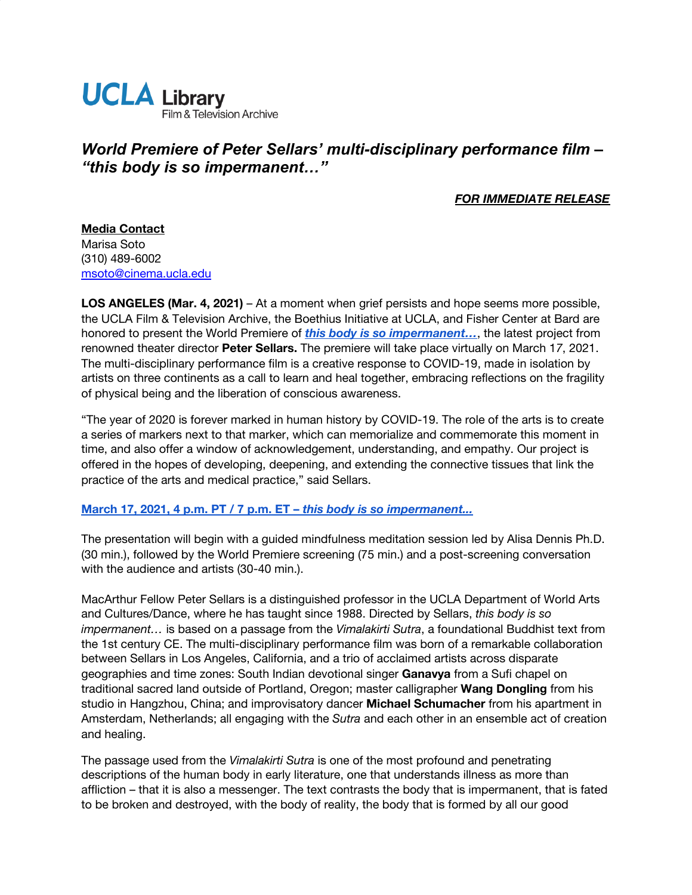

# *World Premiere of Peter Sellars' multi-disciplinary performance film – "this body is so impermanent…"*

## *FOR IMMEDIATE RELEASE*

**Media Contact** Marisa Soto (310) 489-6002 [msoto@cinema.ucla.edu](mailto:msoto@cinema.ucla.edu)

**LOS ANGELES (Mar. 4, 2021)** – At a moment when grief persists and hope seems more possible, the UCLA Film & Television Archive, the Boethius Initiative at UCLA, and Fisher Center at Bard are honored to present the World Premiere of *[this body is so impermanent…](https://www.cinema.ucla.edu/events/2021/03/17/this-body-is-so-impermanent)*, the latest project from renowned theater director **Peter Sellars.** The premiere will take place virtually on March 1*7*, 2021. The multi-disciplinary performance film is a creative response to COVID-19, made in isolation by artists on three continents as a call to learn and heal together, embracing reflections on the fragility of physical being and the liberation of conscious awareness.

"The year of 2020 is forever marked in human history by COVID-19. The role of the arts is to create a series of markers next to that marker, which can memorialize and commemorate this moment in time, and also offer a window of acknowledgement, understanding, and empathy. Our project is offered in the hopes of developing, deepening, and extending the connective tissues that link the practice of the arts and medical practice," said Sellars.

#### **[March 17, 2021, 4 p.m. PT / 7 p.m. ET –](https://www.cinema.ucla.edu/events/2021/03/17/this-body-is-so-impermanent)** *[this body is so impermanent...](https://www.cinema.ucla.edu/events/2021/03/17/this-body-is-so-impermanent)*

The presentation will begin with a guided mindfulness meditation session led by Alisa Dennis Ph.D. (30 min.), followed by the World Premiere screening (75 min.) and a post-screening conversation with the audience and artists (30-40 min.).

MacArthur Fellow Peter Sellars is a distinguished professor in the UCLA Department of World Arts and Cultures/Dance, where he has taught since 1988. Directed by Sellars, *this body is so impermanent…* is based on a passage from the *Vimalakirti Sutra*, a foundational Buddhist text from the 1st century CE. The multi-disciplinary performance film was born of a remarkable collaboration between Sellars in Los Angeles, California, and a trio of acclaimed artists across disparate geographies and time zones: South Indian devotional singer **Ganavya** from a Sufi chapel on traditional sacred land outside of Portland, Oregon; master calligrapher **Wang Dongling** from his studio in Hangzhou, China; and improvisatory dancer **Michael Schumacher** from his apartment in Amsterdam, Netherlands; all engaging with the *Sutra* and each other in an ensemble act of creation and healing.

The passage used from the *Vimalakirti Sutra* is one of the most profound and penetrating descriptions of the human body in early literature, one that understands illness as more than affliction – that it is also a messenger. The text contrasts the body that is impermanent, that is fated to be broken and destroyed, with the body of reality, the body that is formed by all our good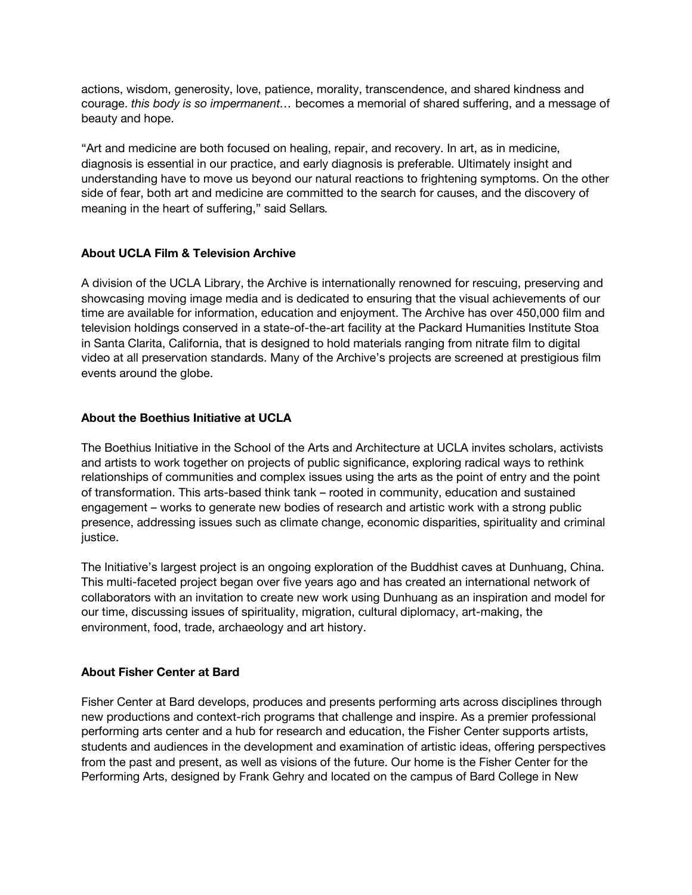actions, wisdom, generosity, love, patience, morality, transcendence, and shared kindness and courage. *this body is so impermanent…* becomes a memorial of shared suffering, and a message of beauty and hope.

"Art and medicine are both focused on healing, repair, and recovery. In art, as in medicine, diagnosis is essential in our practice, and early diagnosis is preferable. Ultimately insight and understanding have to move us beyond our natural reactions to frightening symptoms. On the other side of fear, both art and medicine are committed to the search for causes, and the discovery of meaning in the heart of suffering," said Sellars*.*

## **About UCLA Film & Television Archive**

A division of the UCLA Library, the Archive is internationally renowned for rescuing, preserving and showcasing moving image media and is dedicated to ensuring that the visual achievements of our time are available for information, education and enjoyment. The Archive has over 450,000 film and television holdings conserved in a state-of-the-art facility at the Packard Humanities Institute Stoa in Santa Clarita, California, that is designed to hold materials ranging from nitrate film to digital video at all preservation standards. Many of the Archive's projects are screened at prestigious film events around the globe.

## **About the Boethius Initiative at UCLA**

The Boethius Initiative in the School of the Arts and Architecture at UCLA invites scholars, activists and artists to work together on projects of public significance, exploring radical ways to rethink relationships of communities and complex issues using the arts as the point of entry and the point of transformation. This arts-based think tank – rooted in community, education and sustained engagement – works to generate new bodies of research and artistic work with a strong public presence, addressing issues such as climate change, economic disparities, spirituality and criminal justice.

The Initiative's largest project is an ongoing exploration of the Buddhist caves at Dunhuang, China. This multi-faceted project began over five years ago and has created an international network of collaborators with an invitation to create new work using Dunhuang as an inspiration and model for our time, discussing issues of spirituality, migration, cultural diplomacy, art-making, the environment, food, trade, archaeology and art history.

#### **About Fisher Center at Bard**

Fisher Center at Bard develops, produces and presents performing arts across disciplines through new productions and context-rich programs that challenge and inspire. As a premier professional performing arts center and a hub for research and education, the Fisher Center supports artists, students and audiences in the development and examination of artistic ideas, offering perspectives from the past and present, as well as visions of the future. Our home is the Fisher Center for the Performing Arts, designed by Frank Gehry and located on the campus of Bard College in New